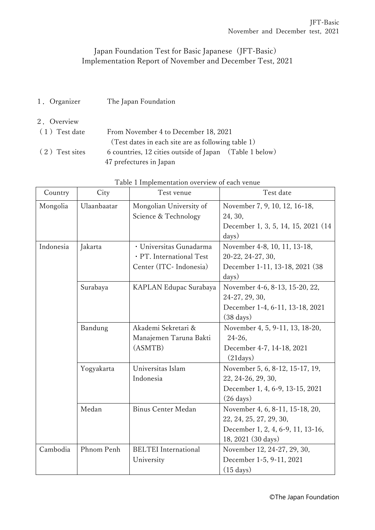## Japan Foundation Test for Basic Japanese (JFT-Basic) Implementation Report of November and December Test, 2021

- 1.Organizer The Japan Foundation
- 2.Overview (1)Test date From November 4 to December 18, 2021 (Test dates in each site are as following table 1)
	- (2)Test sites 6 countries, 12 cities outside of Japan (Table 1 below) 47 prefectures in Japan

| Country                                                             | City                            | I able I Implementation overview of each venue<br>Test venue | Test date                           |
|---------------------------------------------------------------------|---------------------------------|--------------------------------------------------------------|-------------------------------------|
| Mongolia                                                            | Ulaanbaatar                     | Mongolian University of                                      | November 7, 9, 10, 12, 16-18,       |
|                                                                     |                                 | Science & Technology                                         | 24, 30,                             |
|                                                                     |                                 |                                                              | December 1, 3, 5, 14, 15, 2021 (14) |
|                                                                     |                                 |                                                              | days)                               |
| Indonesia                                                           | Jakarta                         | · Universitas Gunadarma                                      | November 4-8, 10, 11, 13-18,        |
|                                                                     |                                 | · PT. International Test                                     | 20-22, 24-27, 30,                   |
|                                                                     |                                 | Center (ITC- Indonesia)                                      | December 1-11, 13-18, 2021 (38)     |
|                                                                     |                                 |                                                              | days)                               |
|                                                                     | Surabaya                        | KAPLAN Edupac Surabaya                                       | November 4-6, 8-13, 15-20, 22,      |
|                                                                     |                                 |                                                              | 24-27, 29, 30,                      |
|                                                                     |                                 |                                                              | December 1-4, 6-11, 13-18, 2021     |
| Akademi Sekretari &<br>Bandung<br>Manajemen Taruna Bakti<br>(ASMTB) |                                 | $(38 \text{ days})$                                          |                                     |
|                                                                     |                                 | November 4, 5, 9-11, 13, 18-20,                              |                                     |
|                                                                     |                                 | 24-26,                                                       |                                     |
|                                                                     |                                 | December 4-7, 14-18, 2021                                    |                                     |
|                                                                     |                                 |                                                              | (21 days)                           |
|                                                                     | Universitas Islam<br>Yogyakarta |                                                              | November 5, 6, 8-12, 15-17, 19,     |
| Indonesia                                                           |                                 |                                                              | 22, 24-26, 29, 30,                  |
|                                                                     |                                 |                                                              | December 1, 4, 6-9, 13-15, 2021     |
|                                                                     |                                 |                                                              | $(26 \text{ days})$                 |
|                                                                     | Medan                           | Binus Center Medan                                           | November 4, 6, 8-11, 15-18, 20,     |
|                                                                     |                                 |                                                              | 22, 24, 25, 27, 29, 30,             |
|                                                                     |                                 |                                                              | December 1, 2, 4, 6-9, 11, 13-16,   |
|                                                                     |                                 |                                                              | 18, 2021 (30 days)                  |
| Cambodia                                                            | Phnom Penh                      | <b>BELTEI</b> International                                  | November 12, 24-27, 29, 30,         |
|                                                                     |                                 | University                                                   | December 1-5, 9-11, 2021            |
|                                                                     |                                 |                                                              | $(15 \text{ days})$                 |

|  | Table 1 Implementation overview of each venue |  |  |
|--|-----------------------------------------------|--|--|
|  |                                               |  |  |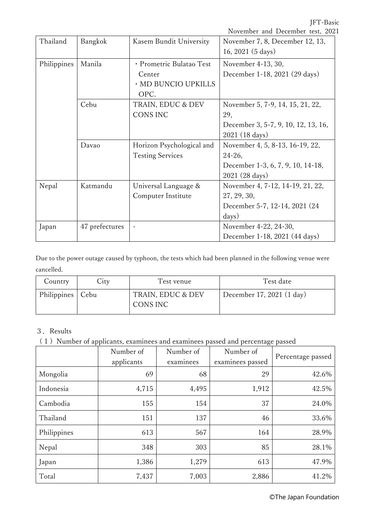JFT-Basic

|             |                |                           | November and December test, 2021    |
|-------------|----------------|---------------------------|-------------------------------------|
| Thailand    | Bangkok        | Kasem Bundit University   | November 7, 8, December 12, 13,     |
|             |                |                           | 16, 2021 (5 days)                   |
| Philippines | Manila         | · Prometric Bulatao Test  | November 4-13, 30,                  |
|             |                | Center                    | December 1-18, 2021 (29 days)       |
|             |                | · MD BUNCIO UPKILLS       |                                     |
|             |                | OPC.                      |                                     |
|             | Cebu           | TRAIN, EDUC & DEV         | November 5, 7-9, 14, 15, 21, 22,    |
|             |                | CONS INC                  | 29,                                 |
|             |                |                           | December 3, 5-7, 9, 10, 12, 13, 16, |
|             |                |                           | 2021 (18 days)                      |
|             | Davao          | Horizon Psychological and | November 4, 5, 8-13, 16-19, 22,     |
|             |                | <b>Testing Services</b>   | 24-26,                              |
|             |                |                           | December 1-3, 6, 7, 9, 10, 14-18,   |
|             |                |                           | 2021 (28 days)                      |
| Nepal       | Katmandu       | Universal Language &      | November 4, 7-12, 14-19, 21, 22,    |
|             |                | Computer Institute        | 27, 29, 30,                         |
|             |                |                           | December 5-7, 12-14, 2021 (24)      |
|             |                |                           | days)                               |
| Japan       | 47 prefectures |                           | November 4-22, 24-30,               |
|             |                |                           | December 1-18, 2021 (44 days)       |

Due to the power outage caused by typhoon, the tests which had been planned in the following venue were cancelled.

| Country            | City | Test venue                    | Test date                 |
|--------------------|------|-------------------------------|---------------------------|
| Philippines   Cebu |      | TRAIN, EDUC & DEV<br>CONS INC | December 17, 2021 (1 day) |

## 3.Results

(1)Number of applicants, examinees and examinees passed and percentage passed

|             | Number of<br>applicants | Number of<br>examinees | Number of<br>examinees passed | Percentage passed |
|-------------|-------------------------|------------------------|-------------------------------|-------------------|
| Mongolia    | 69                      | 68                     | 29                            | 42.6%             |
| Indonesia   | 4,715                   | 4,495                  | 1,912                         | 42.5%             |
| Cambodia    | 155                     | 154                    | 37                            | 24.0%             |
| Thailand    | 151                     | 137                    | 46                            | 33.6%             |
| Philippines | 613                     | 567                    | 164                           | 28.9%             |
| Nepal       | 348                     | 303                    | 85                            | 28.1%             |
| Japan       | 1,386                   | 1,279                  | 613                           | 47.9%             |
| Total       | 7,437                   | 7,003                  | 2,886                         | 41.2%             |